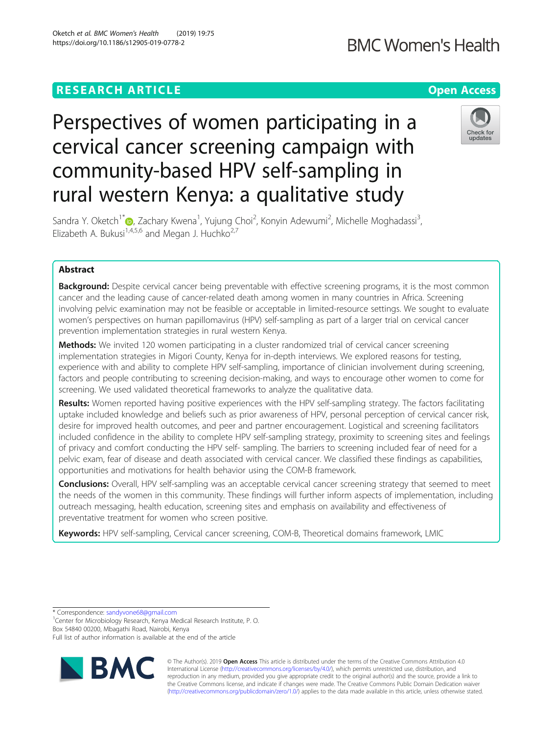# **RESEARCH ARTICLE Example 2018 12:30 THE Open Access**

# Perspectives of women participating in a cervical cancer screening campaign with community-based HPV self-sampling in rural western Kenya: a qualitative study

Sandra Y. Oketch<sup>1\*</sup>®[,](http://orcid.org/0000-0002-7328-0301) Zachary Kwena<sup>1</sup>, Yujung Choi<sup>2</sup>, Konyin Adewumi<sup>2</sup>, Michelle Moghadassi<sup>3</sup> , Elizabeth A. Bukusi<sup>1,4,5,6</sup> and Megan J. Huchko<sup>2,7</sup>

# Abstract

**Background:** Despite cervical cancer being preventable with effective screening programs, it is the most common cancer and the leading cause of cancer-related death among women in many countries in Africa. Screening involving pelvic examination may not be feasible or acceptable in limited-resource settings. We sought to evaluate women's perspectives on human papillomavirus (HPV) self-sampling as part of a larger trial on cervical cancer prevention implementation strategies in rural western Kenya.

**Methods:** We invited 120 women participating in a cluster randomized trial of cervical cancer screening implementation strategies in Migori County, Kenya for in-depth interviews. We explored reasons for testing, experience with and ability to complete HPV self-sampling, importance of clinician involvement during screening, factors and people contributing to screening decision-making, and ways to encourage other women to come for screening. We used validated theoretical frameworks to analyze the qualitative data.

Results: Women reported having positive experiences with the HPV self-sampling strategy. The factors facilitating uptake included knowledge and beliefs such as prior awareness of HPV, personal perception of cervical cancer risk, desire for improved health outcomes, and peer and partner encouragement. Logistical and screening facilitators included confidence in the ability to complete HPV self-sampling strategy, proximity to screening sites and feelings of privacy and comfort conducting the HPV self- sampling. The barriers to screening included fear of need for a pelvic exam, fear of disease and death associated with cervical cancer. We classified these findings as capabilities, opportunities and motivations for health behavior using the COM-B framework.

**Conclusions:** Overall, HPV self-sampling was an acceptable cervical cancer screening strategy that seemed to meet the needs of the women in this community. These findings will further inform aspects of implementation, including outreach messaging, health education, screening sites and emphasis on availability and effectiveness of preventative treatment for women who screen positive.

Keywords: HPV self-sampling, Cervical cancer screening, COM-B, Theoretical domains framework, LMIC

<sup>1</sup> Center for Microbiology Research, Kenya Medical Research Institute, P.O. Box 54840 00200, Mbagathi Road, Nairobi, Kenya

Full list of author information is available at the end of the article

© The Author(s). 2019 **Open Access** This article is distributed under the terms of the Creative Commons Attribution 4.0 International License [\(http://creativecommons.org/licenses/by/4.0/](http://creativecommons.org/licenses/by/4.0/)), which permits unrestricted use, distribution, and reproduction in any medium, provided you give appropriate credit to the original author(s) and the source, provide a link to the Creative Commons license, and indicate if changes were made. The Creative Commons Public Domain Dedication waiver [\(http://creativecommons.org/publicdomain/zero/1.0/](http://creativecommons.org/publicdomain/zero/1.0/)) applies to the data made available in this article, unless otherwise stated.

\* Correspondence: [sandyvone68@gmail.com](mailto:sandyvone68@gmail.com) <sup>1</sup>

**BMC** 



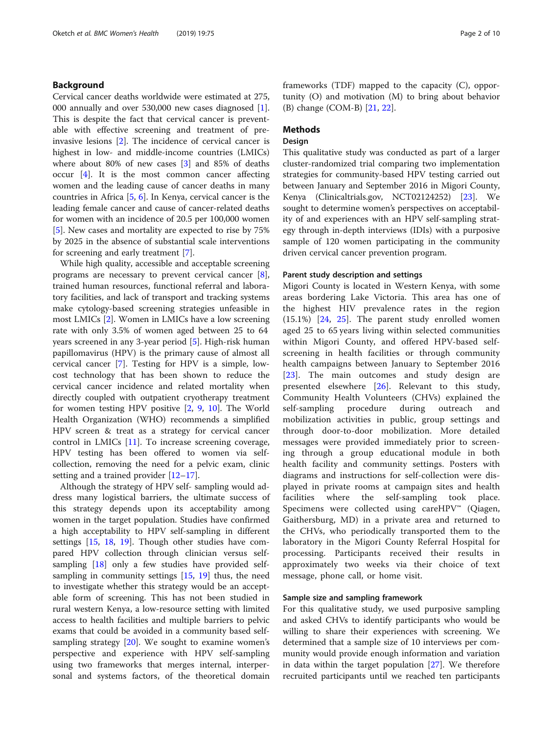# Background

Cervical cancer deaths worldwide were estimated at 275, 000 annually and over 530,000 new cases diagnosed [\[1](#page-7-0)]. This is despite the fact that cervical cancer is preventable with effective screening and treatment of preinvasive lesions [\[2](#page-7-0)]. The incidence of cervical cancer is highest in low- and middle-income countries (LMICs) where about 80% of new cases [[3\]](#page-7-0) and 85% of deaths occur [\[4](#page-7-0)]. It is the most common cancer affecting women and the leading cause of cancer deaths in many countries in Africa [\[5](#page-7-0), [6](#page-8-0)]. In Kenya, cervical cancer is the leading female cancer and cause of cancer-related deaths for women with an incidence of 20.5 per 100,000 women [[5\]](#page-7-0). New cases and mortality are expected to rise by 75% by 2025 in the absence of substantial scale interventions for screening and early treatment [\[7](#page-8-0)].

While high quality, accessible and acceptable screening programs are necessary to prevent cervical cancer [\[8](#page-8-0)], trained human resources, functional referral and laboratory facilities, and lack of transport and tracking systems make cytology-based screening strategies unfeasible in most LMICs [\[2](#page-7-0)]. Women in LMICs have a low screening rate with only 3.5% of women aged between 25 to 64 years screened in any 3-year period [\[5](#page-7-0)]. High-risk human papillomavirus (HPV) is the primary cause of almost all cervical cancer [\[7](#page-8-0)]. Testing for HPV is a simple, lowcost technology that has been shown to reduce the cervical cancer incidence and related mortality when directly coupled with outpatient cryotherapy treatment for women testing HPV positive [\[2](#page-7-0), [9,](#page-8-0) [10\]](#page-8-0). The World Health Organization (WHO) recommends a simplified HPV screen & treat as a strategy for cervical cancer control in LMICs [[11\]](#page-8-0). To increase screening coverage, HPV testing has been offered to women via selfcollection, removing the need for a pelvic exam, clinic setting and a trained provider [\[12](#page-8-0)–[17\]](#page-8-0).

Although the strategy of HPV self- sampling would address many logistical barriers, the ultimate success of this strategy depends upon its acceptability among women in the target population. Studies have confirmed a high acceptability to HPV self-sampling in different settings [[15,](#page-8-0) [18](#page-8-0), [19](#page-8-0)]. Though other studies have compared HPV collection through clinician versus selfsampling [\[18](#page-8-0)] only a few studies have provided selfsampling in community settings [[15,](#page-8-0) [19](#page-8-0)] thus, the need to investigate whether this strategy would be an acceptable form of screening. This has not been studied in rural western Kenya, a low-resource setting with limited access to health facilities and multiple barriers to pelvic exams that could be avoided in a community based selfsampling strategy [\[20](#page-8-0)]. We sought to examine women's perspective and experience with HPV self-sampling using two frameworks that merges internal, interpersonal and systems factors, of the theoretical domain frameworks (TDF) mapped to the capacity (C), opportunity (O) and motivation (M) to bring about behavior (B) change (COM-B) [[21](#page-8-0), [22](#page-8-0)].

# Methods

# Design

This qualitative study was conducted as part of a larger cluster-randomized trial comparing two implementation strategies for community-based HPV testing carried out between January and September 2016 in Migori County, Kenya (Clinicaltrials.gov, NCT02124252) [\[23\]](#page-8-0). We sought to determine women's perspectives on acceptability of and experiences with an HPV self-sampling strategy through in-depth interviews (IDIs) with a purposive sample of 120 women participating in the community driven cervical cancer prevention program.

# Parent study description and settings

Migori County is located in Western Kenya, with some areas bordering Lake Victoria. This area has one of the highest HIV prevalence rates in the region  $(15.1\%)$   $[24, 25]$  $[24, 25]$  $[24, 25]$  $[24, 25]$ . The parent study enrolled women aged 25 to 65 years living within selected communities within Migori County, and offered HPV-based selfscreening in health facilities or through community health campaigns between January to September 2016 [[23\]](#page-8-0). The main outcomes and study design are presented elsewhere [[26\]](#page-8-0). Relevant to this study, Community Health Volunteers (CHVs) explained the self-sampling procedure during outreach and mobilization activities in public, group settings and through door-to-door mobilization. More detailed messages were provided immediately prior to screening through a group educational module in both health facility and community settings. Posters with diagrams and instructions for self-collection were displayed in private rooms at campaign sites and health facilities where the self-sampling took place. Specimens were collected using careHPV™ (Qiagen, Gaithersburg, MD) in a private area and returned to the CHVs, who periodically transported them to the laboratory in the Migori County Referral Hospital for processing. Participants received their results in approximately two weeks via their choice of text message, phone call, or home visit.

# Sample size and sampling framework

For this qualitative study, we used purposive sampling and asked CHVs to identify participants who would be willing to share their experiences with screening. We determined that a sample size of 10 interviews per community would provide enough information and variation in data within the target population [[27\]](#page-8-0). We therefore recruited participants until we reached ten participants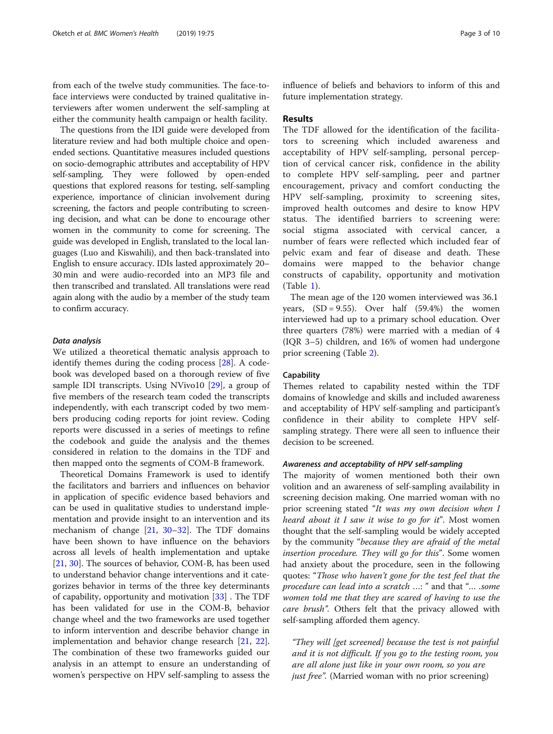from each of the twelve study communities. The face-toface interviews were conducted by trained qualitative interviewers after women underwent the self-sampling at either the community health campaign or health facility.

The questions from the IDI guide were developed from literature review and had both multiple choice and openended sections. Quantitative measures included questions on socio-demographic attributes and acceptability of HPV self-sampling. They were followed by open-ended questions that explored reasons for testing, self-sampling experience, importance of clinician involvement during screening, the factors and people contributing to screening decision, and what can be done to encourage other women in the community to come for screening. The guide was developed in English, translated to the local languages (Luo and Kiswahili), and then back-translated into English to ensure accuracy. IDIs lasted approximately 20– 30 min and were audio-recorded into an MP3 file and then transcribed and translated. All translations were read again along with the audio by a member of the study team to confirm accuracy.

# Data analysis

We utilized a theoretical thematic analysis approach to identify themes during the coding process [[28\]](#page-8-0). A codebook was developed based on a thorough review of five sample IDI transcripts. Using NVivo10 [\[29](#page-8-0)], a group of five members of the research team coded the transcripts independently, with each transcript coded by two members producing coding reports for joint review. Coding reports were discussed in a series of meetings to refine the codebook and guide the analysis and the themes considered in relation to the domains in the TDF and then mapped onto the segments of COM-B framework.

Theoretical Domains Framework is used to identify the facilitators and barriers and influences on behavior in application of specific evidence based behaviors and can be used in qualitative studies to understand implementation and provide insight to an intervention and its mechanism of change [\[21](#page-8-0), [30](#page-8-0)–[32\]](#page-8-0). The TDF domains have been shown to have influence on the behaviors across all levels of health implementation and uptake [[21,](#page-8-0) [30\]](#page-8-0). The sources of behavior, COM-B, has been used to understand behavior change interventions and it categorizes behavior in terms of the three key determinants of capability, opportunity and motivation [[33\]](#page-8-0) . The TDF has been validated for use in the COM-B, behavior change wheel and the two frameworks are used together to inform intervention and describe behavior change in implementation and behavior change research [\[21,](#page-8-0) [22](#page-8-0)]. The combination of these two frameworks guided our analysis in an attempt to ensure an understanding of women's perspective on HPV self-sampling to assess the

influence of beliefs and behaviors to inform of this and future implementation strategy.

# Results

The TDF allowed for the identification of the facilitators to screening which included awareness and acceptability of HPV self-sampling, personal perception of cervical cancer risk, confidence in the ability to complete HPV self-sampling, peer and partner encouragement, privacy and comfort conducting the HPV self-sampling, proximity to screening sites, improved health outcomes and desire to know HPV status. The identified barriers to screening were: social stigma associated with cervical cancer, a number of fears were reflected which included fear of pelvic exam and fear of disease and death. These domains were mapped to the behavior change constructs of capability, opportunity and motivation  $(Table 1)$  $(Table 1)$ .

The mean age of the 120 women interviewed was 36.1 years,  $(SD = 9.55)$ . Over half  $(59.4%)$  the women interviewed had up to a primary school education. Over three quarters (78%) were married with a median of 4 (IQR 3–5) children, and 16% of women had undergone prior screening (Table [2\)](#page-3-0).

# **Capability**

Themes related to capability nested within the TDF domains of knowledge and skills and included awareness and acceptability of HPV self-sampling and participant's confidence in their ability to complete HPV selfsampling strategy. There were all seen to influence their decision to be screened.

# Awareness and acceptability of HPV self-sampling

The majority of women mentioned both their own volition and an awareness of self-sampling availability in screening decision making. One married woman with no prior screening stated "It was my own decision when I heard about it I saw it wise to go for it". Most women thought that the self-sampling would be widely accepted by the community "because they are afraid of the metal insertion procedure. They will go for this". Some women had anxiety about the procedure, seen in the following quotes: "Those who haven't gone for the test feel that the procedure can lead into a scratch …: " and that "… .some women told me that they are scared of having to use the care brush". Others felt that the privacy allowed with self-sampling afforded them agency.

"They will [get screened] because the test is not painful and it is not difficult. If you go to the testing room, you are all alone just like in your own room, so you are just free". (Married woman with no prior screening)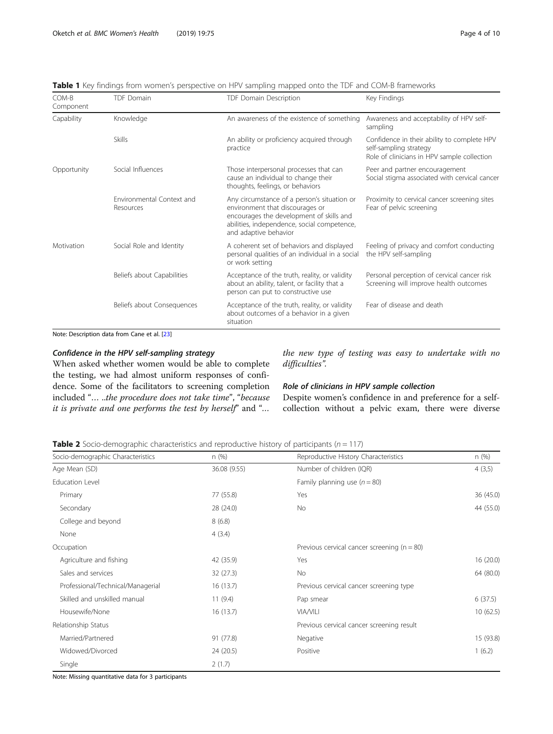| COM-B<br>Component | <b>TDF Domain</b>                      | <b>TDF Domain Description</b>                                                                                                                                                                      | Key Findings                                                                                                         |
|--------------------|----------------------------------------|----------------------------------------------------------------------------------------------------------------------------------------------------------------------------------------------------|----------------------------------------------------------------------------------------------------------------------|
| Capability         | Knowledge                              | An awareness of the existence of something                                                                                                                                                         | Awareness and acceptability of HPV self-<br>sampling                                                                 |
|                    | <b>Skills</b>                          | An ability or proficiency acquired through<br>practice                                                                                                                                             | Confidence in their ability to complete HPV<br>self-sampling strategy<br>Role of clinicians in HPV sample collection |
| Opportunity        | Social Influences                      | Those interpersonal processes that can<br>cause an individual to change their<br>thoughts, feelings, or behaviors                                                                                  | Peer and partner encouragement<br>Social stigma associated with cervical cancer                                      |
|                    | Environmental Context and<br>Resources | Any circumstance of a person's situation or<br>environment that discourages or<br>encourages the development of skills and<br>abilities, independence, social competence,<br>and adaptive behavior | Proximity to cervical cancer screening sites<br>Fear of pelvic screening                                             |
| Motivation         | Social Role and Identity               | A coherent set of behaviors and displayed<br>personal qualities of an individual in a social<br>or work setting                                                                                    | Feeling of privacy and comfort conducting<br>the HPV self-sampling                                                   |
|                    | Beliefs about Capabilities             | Acceptance of the truth, reality, or validity<br>about an ability, talent, or facility that a<br>person can put to constructive use                                                                | Personal perception of cervical cancer risk<br>Screening will improve health outcomes                                |
|                    | Beliefs about Consequences             | Acceptance of the truth, reality, or validity<br>about outcomes of a behavior in a given<br>situation                                                                                              | Fear of disease and death                                                                                            |

<span id="page-3-0"></span>Table 1 Key findings from women's perspective on HPV sampling mapped onto the TDF and COM-B frameworks

Note: Description data from Cane et al. [\[23](#page-8-0)]

# Confidence in the HPV self-sampling strategy

When asked whether women would be able to complete the testing, we had almost uniform responses of confidence. Some of the facilitators to screening completion included "… ..the procedure does not take time", "because it is private and one performs the test by herself" and "…

the new type of testing was easy to undertake with no difficulties".

# Role of clinicians in HPV sample collection

Despite women's confidence in and preference for a selfcollection without a pelvic exam, there were diverse

# **Table 2** Socio-demographic characteristics and reproductive history of participants ( $n = 117$ )

| Socio-demographic Characteristics                     | n(%)         | Reproductive History Characteristics            | n(%)      |
|-------------------------------------------------------|--------------|-------------------------------------------------|-----------|
| Age Mean (SD)                                         | 36.08 (9.55) | Number of children (IQR)                        | 4(3,5)    |
| <b>Education Level</b>                                |              | Family planning use $(n = 80)$                  |           |
| Primary                                               | 77 (55.8)    | Yes                                             | 36 (45.0) |
| Secondary                                             | 28 (24.0)    | No                                              | 44 (55.0) |
| College and beyond                                    | 8(6.8)       |                                                 |           |
| None                                                  | 4(3.4)       |                                                 |           |
| Occupation                                            |              | Previous cervical cancer screening ( $n = 80$ ) |           |
| Agriculture and fishing                               | 42 (35.9)    | Yes                                             | 16(20.0)  |
| Sales and services                                    | 32 (27.3)    | <b>No</b>                                       | 64 (80.0) |
| Professional/Technical/Managerial                     | 16(13.7)     | Previous cervical cancer screening type         |           |
| Skilled and unskilled manual                          | 11(9.4)      | Pap smear                                       | 6(37.5)   |
| Housewife/None                                        | 16(13.7)     | VIA/VILI                                        | 10(62.5)  |
| Relationship Status                                   |              | Previous cervical cancer screening result       |           |
| Married/Partnered                                     | 91 (77.8)    | Negative                                        | 15 (93.8) |
| Widowed/Divorced                                      | 24 (20.5)    | Positive                                        | 1(6.2)    |
| Single                                                | 2(1.7)       |                                                 |           |
| Makai Misato a pripadhektra slaka fan 9 manktatuareka |              |                                                 |           |

Note: Missing quantitative data for 3 participants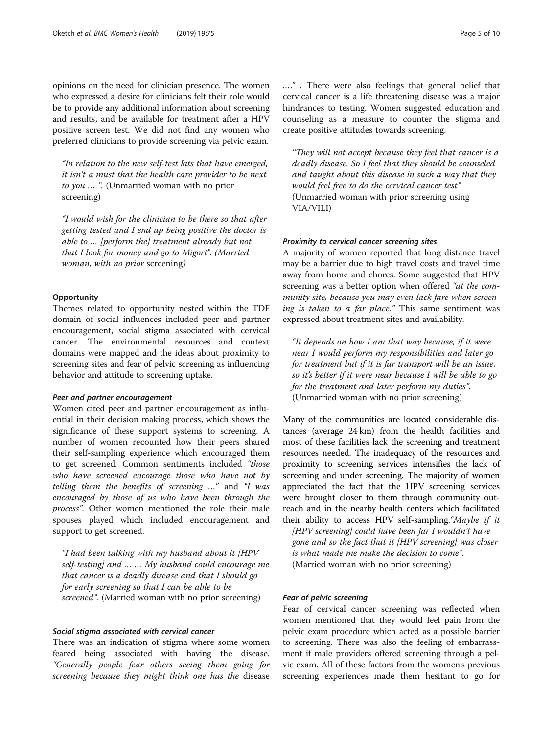opinions on the need for clinician presence. The women who expressed a desire for clinicians felt their role would be to provide any additional information about screening and results, and be available for treatment after a HPV positive screen test. We did not find any women who preferred clinicians to provide screening via pelvic exam.

"In relation to the new self-test kits that have emerged, it isn't a must that the health care provider to be next to you ... ". (Unmarried woman with no prior screening)

"I would wish for the clinician to be there so that after getting tested and I end up being positive the doctor is able to … [perform the] treatment already but not that I look for money and go to Migori". (Married woman, with no prior screening)

# **Opportunity**

Themes related to opportunity nested within the TDF domain of social influences included peer and partner encouragement, social stigma associated with cervical cancer. The environmental resources and context domains were mapped and the ideas about proximity to screening sites and fear of pelvic screening as influencing behavior and attitude to screening uptake.

# Peer and partner encouragement

Women cited peer and partner encouragement as influential in their decision making process, which shows the significance of these support systems to screening. A number of women recounted how their peers shared their self-sampling experience which encouraged them to get screened. Common sentiments included "those who have screened encourage those who have not by telling them the benefits of screening …" and "I was encouraged by those of us who have been through the process". Other women mentioned the role their male spouses played which included encouragement and support to get screened.

"I had been talking with my husband about it [HPV self-testing] and … … My husband could encourage me that cancer is a deadly disease and that I should go for early screening so that I can be able to be screened". (Married woman with no prior screening)

# Social stigma associated with cervical cancer

There was an indication of stigma where some women feared being associated with having the disease. "Generally people fear others seeing them going for screening because they might think one has the disease …." . There were also feelings that general belief that cervical cancer is a life threatening disease was a major hindrances to testing. Women suggested education and counseling as a measure to counter the stigma and create positive attitudes towards screening.

"They will not accept because they feel that cancer is a deadly disease. So I feel that they should be counseled and taught about this disease in such a way that they would feel free to do the cervical cancer test". (Unmarried woman with prior screening using VIA/VILI)

#### Proximity to cervical cancer screening sites

A majority of women reported that long distance travel may be a barrier due to high travel costs and travel time away from home and chores. Some suggested that HPV screening was a better option when offered "at the community site, because you may even lack fare when screening is taken to a far place." This same sentiment was expressed about treatment sites and availability.

"It depends on how I am that way because, if it were near I would perform my responsibilities and later go for treatment but if it is far transport will be an issue, so it's better if it were near because I will be able to go for the treatment and later perform my duties". (Unmarried woman with no prior screening)

Many of the communities are located considerable distances (average 24 km) from the health facilities and most of these facilities lack the screening and treatment resources needed. The inadequacy of the resources and proximity to screening services intensifies the lack of screening and under screening. The majority of women appreciated the fact that the HPV screening services were brought closer to them through community outreach and in the nearby health centers which facilitated their ability to access HPV self-sampling."Maybe if it

[HPV screening] could have been far I wouldn't have gone and so the fact that it [HPV screening] was closer is what made me make the decision to come". (Married woman with no prior screening)

# Fear of pelvic screening

Fear of cervical cancer screening was reflected when women mentioned that they would feel pain from the pelvic exam procedure which acted as a possible barrier to screening. There was also the feeling of embarrassment if male providers offered screening through a pelvic exam. All of these factors from the women's previous screening experiences made them hesitant to go for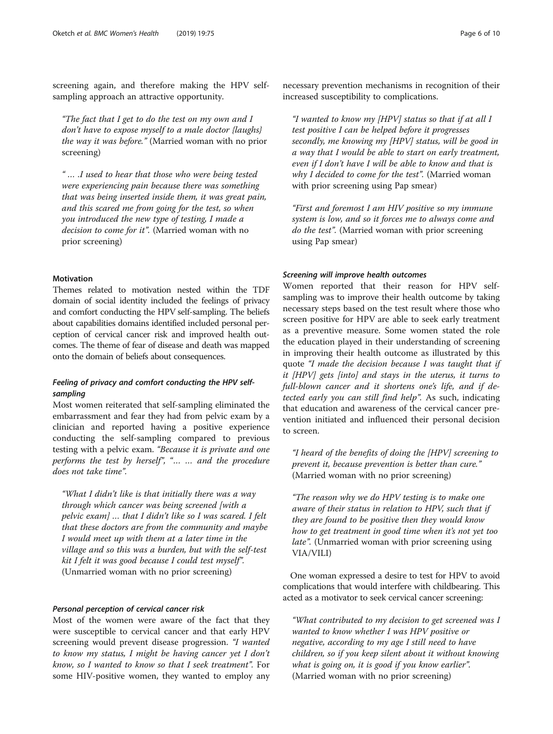screening again, and therefore making the HPV selfsampling approach an attractive opportunity.

"The fact that  $I$  get to do the test on my own and  $I$ don't have to expose myself to a male doctor {laughs} the way it was before." (Married woman with no prior screening)

" … .I used to hear that those who were being tested were experiencing pain because there was something that was being inserted inside them, it was great pain, and this scared me from going for the test, so when you introduced the new type of testing, I made a decision to come for it". (Married woman with no prior screening)

# Motivation

Themes related to motivation nested within the TDF domain of social identity included the feelings of privacy and comfort conducting the HPV self-sampling. The beliefs about capabilities domains identified included personal perception of cervical cancer risk and improved health outcomes. The theme of fear of disease and death was mapped onto the domain of beliefs about consequences.

# Feeling of privacy and comfort conducting the HPV selfsampling

Most women reiterated that self-sampling eliminated the embarrassment and fear they had from pelvic exam by a clinician and reported having a positive experience conducting the self-sampling compared to previous testing with a pelvic exam. "Because it is private and one performs the test by herself", "… … and the procedure does not take time".

"What I didn't like is that initially there was a way through which cancer was being screened [with a pelvic exam] … that I didn't like so I was scared. I felt that these doctors are from the community and maybe I would meet up with them at a later time in the village and so this was a burden, but with the self-test kit I felt it was good because I could test myself". (Unmarried woman with no prior screening)

#### Personal perception of cervical cancer risk

Most of the women were aware of the fact that they were susceptible to cervical cancer and that early HPV screening would prevent disease progression. "I wanted to know my status, I might be having cancer yet I don't know, so I wanted to know so that I seek treatment". For some HIV-positive women, they wanted to employ any

"I wanted to know my [HPV] status so that if at all I test positive I can be helped before it progresses secondly, me knowing my [HPV] status, will be good in a way that I would be able to start on early treatment, even if I don't have I will be able to know and that is why I decided to come for the test". (Married woman with prior screening using Pap smear)

"First and foremost I am HIV positive so my immune system is low, and so it forces me to always come and do the test". (Married woman with prior screening using Pap smear)

#### Screening will improve health outcomes

Women reported that their reason for HPV selfsampling was to improve their health outcome by taking necessary steps based on the test result where those who screen positive for HPV are able to seek early treatment as a preventive measure. Some women stated the role the education played in their understanding of screening in improving their health outcome as illustrated by this quote "I made the decision because I was taught that if it [HPV] gets [into] and stays in the uterus, it turns to full-blown cancer and it shortens one's life, and if detected early you can still find help". As such, indicating that education and awareness of the cervical cancer prevention initiated and influenced their personal decision to screen.

"I heard of the benefits of doing the [HPV] screening to prevent it, because prevention is better than cure." (Married woman with no prior screening)

"The reason why we do HPV testing is to make one aware of their status in relation to HPV, such that if they are found to be positive then they would know how to get treatment in good time when it's not yet too late". (Unmarried woman with prior screening using VIA/VILI)

One woman expressed a desire to test for HPV to avoid complications that would interfere with childbearing. This acted as a motivator to seek cervical cancer screening:

"What contributed to my decision to get screened was I wanted to know whether I was HPV positive or negative, according to my age I still need to have children, so if you keep silent about it without knowing what is going on, it is good if you know earlier". (Married woman with no prior screening)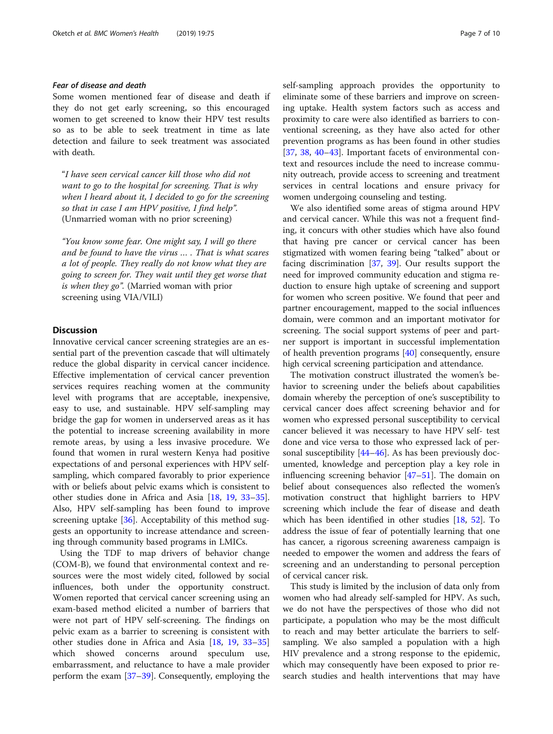# Fear of disease and death

Some women mentioned fear of disease and death if they do not get early screening, so this encouraged women to get screened to know their HPV test results so as to be able to seek treatment in time as late detection and failure to seek treatment was associated with death.

"I have seen cervical cancer kill those who did not want to go to the hospital for screening. That is why when I heard about it, I decided to go for the screening so that in case I am HPV positive, I find help". (Unmarried woman with no prior screening)

"You know some fear. One might say, I will go there and be found to have the virus … . That is what scares a lot of people. They really do not know what they are going to screen for. They wait until they get worse that is when they go". (Married woman with prior screening using VIA/VILI)

# **Discussion**

Innovative cervical cancer screening strategies are an essential part of the prevention cascade that will ultimately reduce the global disparity in cervical cancer incidence. Effective implementation of cervical cancer prevention services requires reaching women at the community level with programs that are acceptable, inexpensive, easy to use, and sustainable. HPV self-sampling may bridge the gap for women in underserved areas as it has the potential to increase screening availability in more remote areas, by using a less invasive procedure. We found that women in rural western Kenya had positive expectations of and personal experiences with HPV selfsampling, which compared favorably to prior experience with or beliefs about pelvic exams which is consistent to other studies done in Africa and Asia [[18,](#page-8-0) [19](#page-8-0), [33](#page-8-0)–[35](#page-8-0)]. Also, HPV self-sampling has been found to improve screening uptake [\[36\]](#page-8-0). Acceptability of this method suggests an opportunity to increase attendance and screening through community based programs in LMICs.

Using the TDF to map drivers of behavior change (COM-B), we found that environmental context and resources were the most widely cited, followed by social influences, both under the opportunity construct. Women reported that cervical cancer screening using an exam-based method elicited a number of barriers that were not part of HPV self-screening. The findings on pelvic exam as a barrier to screening is consistent with other studies done in Africa and Asia [\[18](#page-8-0), [19,](#page-8-0) [33](#page-8-0)–[35](#page-8-0)] which showed concerns around speculum use, embarrassment, and reluctance to have a male provider perform the exam [[37](#page-8-0)–[39\]](#page-8-0). Consequently, employing the self-sampling approach provides the opportunity to eliminate some of these barriers and improve on screening uptake. Health system factors such as access and proximity to care were also identified as barriers to conventional screening, as they have also acted for other prevention programs as has been found in other studies [[37,](#page-8-0) [38](#page-8-0), [40](#page-8-0)–[43\]](#page-8-0). Important facets of environmental context and resources include the need to increase community outreach, provide access to screening and treatment services in central locations and ensure privacy for women undergoing counseling and testing.

We also identified some areas of stigma around HPV and cervical cancer. While this was not a frequent finding, it concurs with other studies which have also found that having pre cancer or cervical cancer has been stigmatized with women fearing being "talked" about or facing discrimination [\[37](#page-8-0), [39\]](#page-8-0). Our results support the need for improved community education and stigma reduction to ensure high uptake of screening and support for women who screen positive. We found that peer and partner encouragement, mapped to the social influences domain, were common and an important motivator for screening. The social support systems of peer and partner support is important in successful implementation of health prevention programs [[40](#page-8-0)] consequently, ensure high cervical screening participation and attendance.

The motivation construct illustrated the women's behavior to screening under the beliefs about capabilities domain whereby the perception of one's susceptibility to cervical cancer does affect screening behavior and for women who expressed personal susceptibility to cervical cancer believed it was necessary to have HPV self- test done and vice versa to those who expressed lack of personal susceptibility [\[44](#page-8-0)–[46\]](#page-8-0). As has been previously documented, knowledge and perception play a key role in influencing screening behavior [[47](#page-8-0)–[51](#page-9-0)]. The domain on belief about consequences also reflected the women's motivation construct that highlight barriers to HPV screening which include the fear of disease and death which has been identified in other studies [\[18](#page-8-0), [52](#page-9-0)]. To address the issue of fear of potentially learning that one has cancer, a rigorous screening awareness campaign is needed to empower the women and address the fears of screening and an understanding to personal perception of cervical cancer risk.

This study is limited by the inclusion of data only from women who had already self-sampled for HPV. As such, we do not have the perspectives of those who did not participate, a population who may be the most difficult to reach and may better articulate the barriers to selfsampling. We also sampled a population with a high HIV prevalence and a strong response to the epidemic, which may consequently have been exposed to prior research studies and health interventions that may have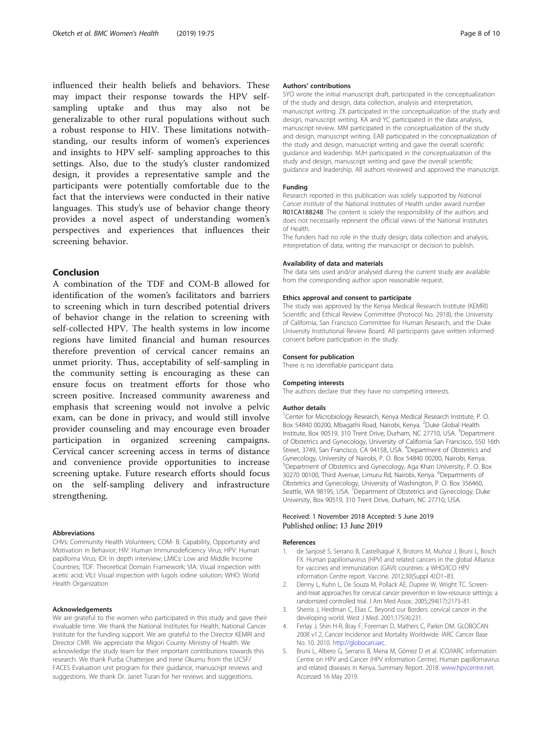<span id="page-7-0"></span>influenced their health beliefs and behaviors. These may impact their response towards the HPV selfsampling uptake and thus may also not be generalizable to other rural populations without such a robust response to HIV. These limitations notwithstanding, our results inform of women's experiences and insights to HPV self- sampling approaches to this settings. Also, due to the study's cluster randomized design, it provides a representative sample and the participants were potentially comfortable due to the fact that the interviews were conducted in their native languages. This study's use of behavior change theory provides a novel aspect of understanding women's perspectives and experiences that influences their screening behavior.

# Conclusion

A combination of the TDF and COM-B allowed for identification of the women's facilitators and barriers to screening which in turn described potential drivers of behavior change in the relation to screening with self-collected HPV. The health systems in low income regions have limited financial and human resources therefore prevention of cervical cancer remains an unmet priority. Thus, acceptability of self-sampling in the community setting is encouraging as these can ensure focus on treatment efforts for those who screen positive. Increased community awareness and emphasis that screening would not involve a pelvic exam, can be done in privacy, and would still involve provider counseling and may encourage even broader participation in organized screening campaigns. Cervical cancer screening access in terms of distance and convenience provide opportunities to increase screening uptake. Future research efforts should focus on the self-sampling delivery and infrastructure strengthening.

#### Abbreviations

CHVs: Community Health Volunteers; COM- B: Capability, Opportunity and Motivation in Behavior; HIV: Human Immunodeficiency Virus; HPV: Human papilloma Virus; IDI: In depth interview; LMICs: Low and Middle Income Countries; TDF: Theoretical Domain Framework; VIA: Visual inspection with acetic acid; VILI: Visual inspection with lugols iodine solution; WHO: World Health Organization

# Acknowledgements

We are grateful to the women who participated in this study and gave their invaluable time. We thank the National Institutes for Health, National Cancer Institute for the funding support. We are grateful to the Director KEMRI and Director CMR. We appreciate the Migori County Ministry of Health. We acknowledge the study team for their important contributions towards this research. We thank Purba Chatterjee and Irene Okumu from the UCSF/ FACES Evaluation unit program for their guidance, manuscript reviews and suggestions. We thank Dr. Janet Turan for her reviews and suggestions.

#### Authors' contributions

SYO wrote the initial manuscript draft, participated in the conceptualization of the study and design, data collection, analysis and interpretation, manuscript writing. ZK participated in the conceptualization of the study and design, manuscript writing. KA and YC participated in the data analysis, manuscript review. MM participated in the conceptualization of the study and design, manuscript writing. EAB participated in the conceptualization of the study and design, manuscript writing and gave the overall scientific guidance and leadership. MJH participated in the conceptualization of the study and design, manuscript writing and gave the overall scientific guidance and leadership. All authors reviewed and approved the manuscript.

#### Funding

Research reported in this publication was solely supported by National Cancer Institute of the National Institutes of Health under award number R01CA188248. The content is solely the responsibility of the authors and does not necessarily represent the official views of the National Institutes of Health.

The funders had no role in the study design, data collection and analysis, interpretation of data, writing the manuscript or decision to publish.

#### Availability of data and materials

The data sets used and/or analysed during the current study are available from the corresponding author upon reasonable request.

#### Ethics approval and consent to participate

The study was approved by the Kenya Medical Research Institute (KEMRI) Scientific and Ethical Review Committee (Protocol No. 2918), the University of California, San Francisco Committee for Human Research, and the Duke University Institutional Review Board. All participants gave written informed consent before participation in the study.

#### Consent for publication

There is no identifiable participant data.

#### Competing interests

The authors declare that they have no competing interests.

#### Author details

<sup>1</sup> Center for Microbiology Research, Kenya Medical Research Institute, P.O. Box 54840 00200, Mbagathi Road, Nairobi, Kenya. <sup>2</sup>Duke Global Health Institute, Box 90519, 310 Trent Drive, Durham, NC 27710, USA. <sup>3</sup>Department of Obstetrics and Gynecology, University of California San Francisco, 550 16th Street, 3749, San Francisco, CA 94158, USA. <sup>4</sup>Department of Obstetrics and Gynecology, University of Nairobi, P. O. Box 54840 00200, Nairobi, Kenya. 5 Department of Obstetrics and Gynecology, Aga Khan University, P. O. Box 30270 00100, Third Avenue, Limuru Rd, Nairobi, Kenya. <sup>6</sup>Departments of Obstetrics and Gynecology, University of Washington, P. O. Box 356460, Seattle, WA 98195, USA. <sup>7</sup>Department of Obstetrics and Gynecology, Duke University, Box 90519, 310 Trent Drive, Durham, NC 27710, USA.

# Received: 1 November 2018 Accepted: 5 June 2019 Published online: 13 June 2019

#### References

- 1. de Sanjosé S, Serrano B, Castellsagué X, Brotons M, Muñoz J, Bruni L, Bosch FX. Human papillomavirus (HPV) and related cancers in the global Alliance for vaccines and immunization (GAVI) countries: a WHO/ICO HPV information Centre report. Vaccine. 2012;30(Suppl 4):D1–83.
- 2. Denny L, Kuhn L, De Souza M, Pollack AE, Dupree W, Wright TC. Screenand-treat approaches for cervical cancer prevention in low-resource settings: a randomized controlled trial. J Am Med Assoc. 2005;294(17):2173–81.
- 3. Sherris J, Herdman C, Elias C. Beyond our Borders: cervical cancer in the developing world. West J Med. 2001;175(4):231.
- 4. Ferlay J, Shin H-R, Bray F, Foreman D, Mathers C, Parkin DM. GLOBOCAN 2008 v1.2, Cancer Incidence and Mortality Worldwide: IARC Cancer Base No. 10. 2010. <http://globocan.iarc>.
- 5. Bruni L, Albero G, Serrano B, Mena M, Gómez D et al. ICO/IARC information Centre on HPV and Cancer (HPV information Centre). Human papillomavirus and related diseases in Kenya. Summary Report. 2018. [www.hpvcentre.net](http://www.hpvcentre.net). Accessed 16 May 2019.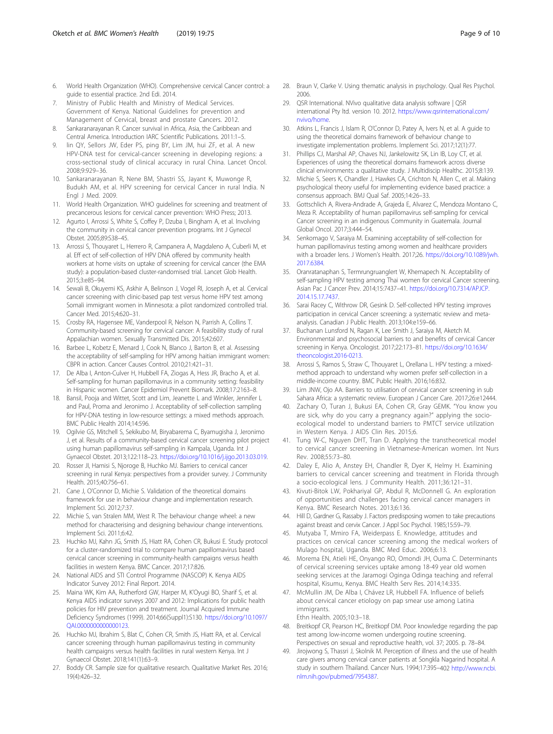- <span id="page-8-0"></span>6. World Health Organization (WHO). Comprehensive cervical Cancer control: a guide to essential practice. 2nd Edi. 2014.
- 7. Ministry of Public Health and Ministry of Medical Services. Government of Kenya. National Guidelines for prevention and Management of Cervical, breast and prostate Cancers. 2012.
- 8. Sankaranarayanan R. Cancer survival in Africa, Asia, the Caribbean and Central America. Introduction IARC Scientific Publications. 2011:1–5.
- 9. lin QY, Sellors JW, Eder PS, ping BY, Lim JM, hui ZF, et al. A new HPV-DNA test for cervical-cancer screening in developing regions: a cross-sectional study of clinical accuracy in rural China. Lancet Oncol. 2008;9:929–36.
- 10. Sankaranarayanan R, Nene BM, Shastri SS, Jayant K, Muwonge R, Budukh AM, et al. HPV screening for cervical Cancer in rural India. N Engl J Med. 2009.
- 11. World Health Organization. WHO guidelines for screening and treatment of precancerous lesions for cervical cancer prevention: WHO Press; 2013.
- 12. Agurto I, Arrossi S, White S, Coffey P, Dzuba I, Bingham A, et al. Involving the community in cervical cancer prevention programs. Int J Gynecol Obstet. 2005;89:S38–45.
- 13. Arrossi S, Thouyaret L, Herrero R, Campanera A, Magdaleno A, Cuberli M, et al. Eff ect of self-collection of HPV DNA offered by community health workers at home visits on uptake of screening for cervical cancer (the EMA study): a population-based cluster-randomised trial. Lancet Glob Health. 2015;3:e85–94.
- 14. Sewali B, Okuyemi KS, Askhir A, Belinson J, Vogel RI, Joseph A, et al. Cervical cancer screening with clinic-based pap test versus home HPV test among Somali immigrant women in Minnesota: a pilot randomized controlled trial. Cancer Med. 2015;4:620–31.
- 15. Crosby RA, Hagensee ME, Vanderpool R, Nelson N, Parrish A, Collins T. Community-based screening for cervical cancer: A feasibility study of rural Appalachian women. Sexually Transmitted Dis. 2015;42:607.
- 16. Barbee L, Kobetz E, Menard J, Cook N, Blanco J, Barton B, et al. Assessing the acceptability of self-sampling for HPV among haitian immigrant women: CBPR in action. Cancer Causes Control. 2010;21:421–31.
- 17. De Alba I, Anton-Culver H, Hubbell FA, Ziogas A, Hess JR, Bracho A, et al. Self-sampling for human papillomavirus in a community setting: feasibility in Hispanic women. Cancer Epidemiol Prevent Biomark. 2008;17:2163–8.
- 18. Bansil, Pooja and Wittet, Scott and Lim, Jeanette L and Winkler, Jennifer L and Paul, Proma and Jeronimo J. Acceptability of self-collection sampling for HPV-DNA testing in low-resource settings: a mixed methods approach. BMC Public Health 2014;14:596.
- 19. Ogilvie GS, Mitchell S, Sekikubo M, Biryabarema C, Byamugisha J, Jeronimo J, et al. Results of a community-based cervical cancer screening pilot project using human papillomavirus self-sampling in Kampala, Uganda. Int J Gynaecol Obstet. 2013;122:118–23. <https://doi.org/10.1016/j.ijgo.2013.03.019>.
- 20. Rosser JI, Hamisi S, Njoroge B, Huchko MJ. Barriers to cervical cancer screening in rural Kenya: perspectives from a provider survey. J Community Health. 2015;40:756–61.
- 21. Cane J, O'Connor D, Michie S. Validation of the theoretical domains framework for use in behaviour change and implementation research. Implement Sci. 2012;7:37.
- 22. Michie S, van Stralen MM, West R. The behaviour change wheel: a new method for characterising and designing behaviour change interventions. Implement Sci. 2011;6:42.
- 23. Huchko MJ, Kahn JG, Smith JS, Hiatt RA, Cohen CR, Bukusi E. Study protocol for a cluster-randomized trial to compare human papillomavirus based cervical cancer screening in community-health campaigns versus health facilities in western Kenya. BMC Cancer. 2017;17:826.
- 24. National AIDS and STI Control Programme (NASCOP) K. Kenya AIDS Indicator Survey 2012: Final Report. 2014.
- 25. Maina WK, Kim AA, Rutherford GW, Harper M, K'Oyugi BO, Sharif S, et al. Kenya AIDS indicator surveys 2007 and 2012: Implications for public health policies for HIV prevention and treatment. Journal Acquired Immune Deficiency Syndromes (1999). 2014;66(Suppl1):S130. [https://doi.org/10.1097/](https://doi.org/10.1097/QAI.0000000000000123) [QAI.0000000000000123.](https://doi.org/10.1097/QAI.0000000000000123)
- 26. Huchko MJ, Ibrahim S, Blat C, Cohen CR, Smith JS, Hiatt RA, et al. Cervical cancer screening through human papillomavirus testing in community health campaigns versus health facilities in rural western Kenya. Int J Gynaecol Obstet. 2018;141(1):63–9.
- 27. Boddy CR. Sample size for qualitative research. Qualitative Market Res. 2016; 19(4):426–32.
- 28. Braun V, Clarke V. Using thematic analysis in psychology. Qual Res Psychol. 2006.
- 29. OSR International. NVivo qualitative data analysis software | OSR international Pty ltd. version 10. 2012. [https://www.qsrinternational.com/](https://www.qsrinternational.com/nvivo/home) [nvivo/home](https://www.qsrinternational.com/nvivo/home).
- 30. Atkins L, Francis J, Islam R, O'Connor D, Patey A, Ivers N, et al. A guide to using the theoretical domains framework of behaviour change to investigate implementation problems. Implement Sci. 2017;12(1):77.
- 31. Phillips CJ, Marshal AP, Chaves NJ, Jankelowitz SK, Lin IB, Loy CT, et al. Experiences of using the theoretical domains framework across diverse clinical environments: a qualitative study. J Multidiscip Healthc. 2015;8:139.
- 32. Michie S, Seers K, Chandler J, Hawkes CA, Crichton N, Allen C, et al. Making psychological theory useful for implementing evidence based practice: a consensus approach. BMJ Qual Saf. 2005;14:26–33.
- 33. Gottschlich A, Rivera-Andrade A, Grajeda E, Alvarez C, Mendoza Montano C, Meza R. Acceptability of human papillomavirus self-sampling for cervical Cancer screening in an indigenous Community in Guatemala. Journal Global Oncol. 2017;3:444–54.
- 34. Senkomago V, Saraiya M. Examining acceptability of self-collection for human papillomavirus testing among women and healthcare providers with a broader lens. J Women's Health. 2017;26. [https://doi.org/10.1089/jwh.](https://doi.org/10.1089/jwh.2017.6384) [2017.6384](https://doi.org/10.1089/jwh.2017.6384).
- 35. Oranratanaphan S, Termrungruanglert W, Khemapech N. Acceptability of self-sampling HPV testing among Thai women for cervical Cancer screening. Asian Pac J Cancer Prev. 2014;15:7437–41. [https://doi.org/10.7314/APJCP.](https://doi.org/10.7314/APJCP.2014.15.17.7437) [2014.15.17.7437](https://doi.org/10.7314/APJCP.2014.15.17.7437).
- 36. Sarai Racey C, Withrow DR, Gesink D. Self-collected HPV testing improves participation in cervical Cancer screening: a systematic review and metaanalysis. Canadian J Public Health. 2013;104:e159–66.
- 37. Buchanan Lunsford N, Ragan K, Lee Smith J, Saraiya M, Aketch M. Environmental and psychosocial barriers to and benefits of cervical Cancer screening in Kenya. Oncologist. 2017;22:173–81. [https://doi.org/10.1634/](https://doi.org/10.1634/theoncologist.2016-0213) [theoncologist.2016-0213](https://doi.org/10.1634/theoncologist.2016-0213).
- 38. Arrossi S, Ramos S, Straw C, Thouyaret L, Orellana L. HPV testing: a mixedmethod approach to understand why women prefer self-collection in a middle-income country. BMC Public Health. 2016;16:832.
- 39. Lim JNW, Ojo AA. Barriers to utilisation of cervical cancer screening in sub Sahara Africa: a systematic review. European J Cancer Care. 2017;26:e12444.
- 40. Zachary O, Turan J, Bukusi EA, Cohen CR, Gray GEMK. "You know you are sick, why do you carry a pregnancy again?" applying the socioecological model to understand barriers to PMTCT service utilization in Western Kenya. J AIDS Clin Res. 2015;6.
- 41. Tung W-C, Nguyen DHT, Tran D. Applying the transtheoretical model to cervical cancer screening in Vietnamese-American women. Int Nurs Rev. 2008;55:73–80.
- 42. Daley E, Alio A, Anstey EH, Chandler R, Dyer K, Helmy H. Examining barriers to cervical cancer screening and treatment in Florida through a socio-ecological lens. J Community Health. 2011;36:121–31.
- 43. Kivuti-Bitok LW, Pokhariyal GP, Abdul R, McDonnell G. An exploration of opportunities and challenges facing cervical cancer managers in Kenya. BMC Research Notes. 2013;6:136.
- 44. Hill D, Gardner G, Rassaby J. Factors predisposing women to take precautions against breast and cervix Cancer. J Appl Soc Psychol. 1985;15:59–79.
- 45. Mutyaba T, Mmiro FA, Weiderpass E. Knowledge, attitudes and practices on cervical cancer screening among the medical workers of Mulago hospital, Uganda. BMC Med Educ. 2006;6:13.
- 46. Morema EN, Atieli HE, Onyango RO, Omondi JH, Ouma C. Determinants of cervical screening services uptake among 18-49 year old women seeking services at the Jaramogi Oginga Odinga teaching and referral hospital, Kisumu, Kenya. BMC Health Serv Res. 2014;14:335.
- 47. McMullin JM, De Alba I, Chávez LR, Hubbell FA. Influence of beliefs about cervical cancer etiology on pap smear use among Latina immigrants.

Ethn Health. 2005;10:3–18.

- 48. Breitkopf CR, Pearson HC, Breitkopf DM. Poor knowledge regarding the pap test among low-income women undergoing routine screening. Perspectives on sexual and reproductive health, vol. 37; 2005. p. 78–84.
- 49. Jirojwong S, Thassri J, Skolnik M. Perception of illness and the use of health care givers among cervical cancer patients at Songkla Nagarind hospital. A study in southern Thailand. Cancer Nurs. 1994;17:395–402 [http://www.ncbi.](http://www.ncbi.nlm.nih.gov/pubmed/7954387) [nlm.nih.gov/pubmed/7954387](http://www.ncbi.nlm.nih.gov/pubmed/7954387).